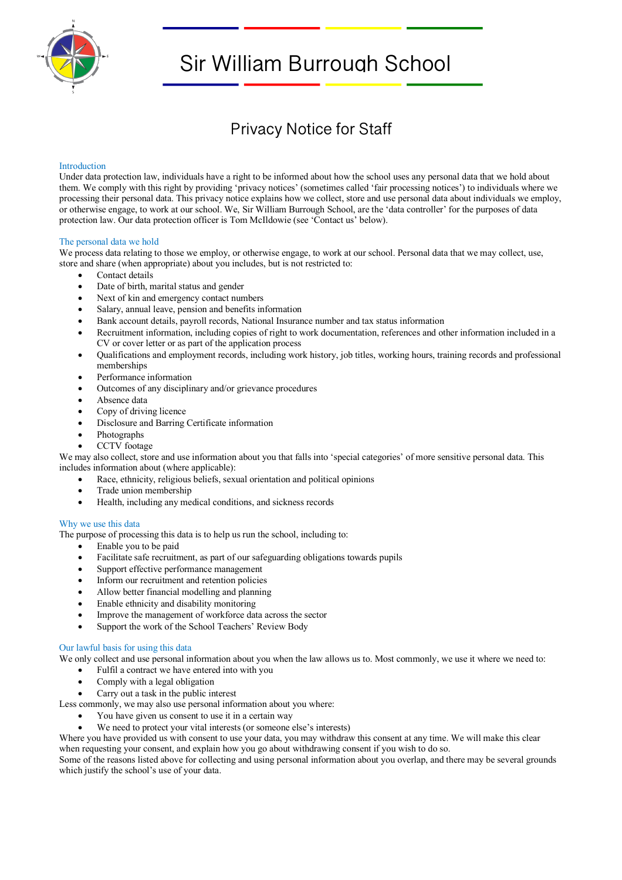

# Sir William Burrough School

# Privacy Notice for Staff

# Introduction

Under data protection law, individuals have a right to be informed about how the school uses any personal data that we hold about them. We comply with this right by providing 'privacy notices' (sometimes called 'fair processing notices') to individuals where we processing their personal data. This privacy notice explains how we collect, store and use personal data about individuals we employ, or otherwise engage, to work at our school. We, Sir William Burrough School, are the 'data controller' for the purposes of data protection law. Our data protection officer is Tom McIldowie (see 'Contact us' below).

# The personal data we hold

We process data relating to those we employ, or otherwise engage, to work at our school. Personal data that we may collect, use, store and share (when appropriate) about you includes, but is not restricted to:

- Contact details
- Date of birth, marital status and gender
- Next of kin and emergency contact numbers
- Salary, annual leave, pension and benefits information
- Bank account details, payroll records, National Insurance number and tax status information
- Recruitment information, including copies of right to work documentation, references and other information included in a CV or cover letter or as part of the application process
- Qualifications and employment records, including work history, job titles, working hours, training records and professional memberships
- Performance information
- Outcomes of any disciplinary and/or grievance procedures
- Absence data
- Copy of driving licence
- Disclosure and Barring Certificate information
- Photographs
- CCTV footage

We may also collect, store and use information about you that falls into 'special categories' of more sensitive personal data. This includes information about (where applicable):

- Race, ethnicity, religious beliefs, sexual orientation and political opinions
- Trade union membership
- Health, including any medical conditions, and sickness records

# Why we use this data

The purpose of processing this data is to help us run the school, including to:

- Enable you to be paid
- Facilitate safe recruitment, as part of our safeguarding obligations towards pupils
- Support effective performance management
- Inform our recruitment and retention policies
- Allow better financial modelling and planning
- Enable ethnicity and disability monitoring
- Improve the management of workforce data across the sector
- Support the work of the School Teachers' Review Body

# Our lawful basis for using this data

We only collect and use personal information about you when the law allows us to. Most commonly, we use it where we need to:

- Fulfil a contract we have entered into with you
- Comply with a legal obligation
- Carry out a task in the public interest

Less commonly, we may also use personal information about you where:

- You have given us consent to use it in a certain way
- We need to protect your vital interests (or someone else's interests)

Where you have provided us with consent to use your data, you may withdraw this consent at any time. We will make this clear when requesting your consent, and explain how you go about withdrawing consent if you wish to do so.

Some of the reasons listed above for collecting and using personal information about you overlap, and there may be several grounds which justify the school's use of your data.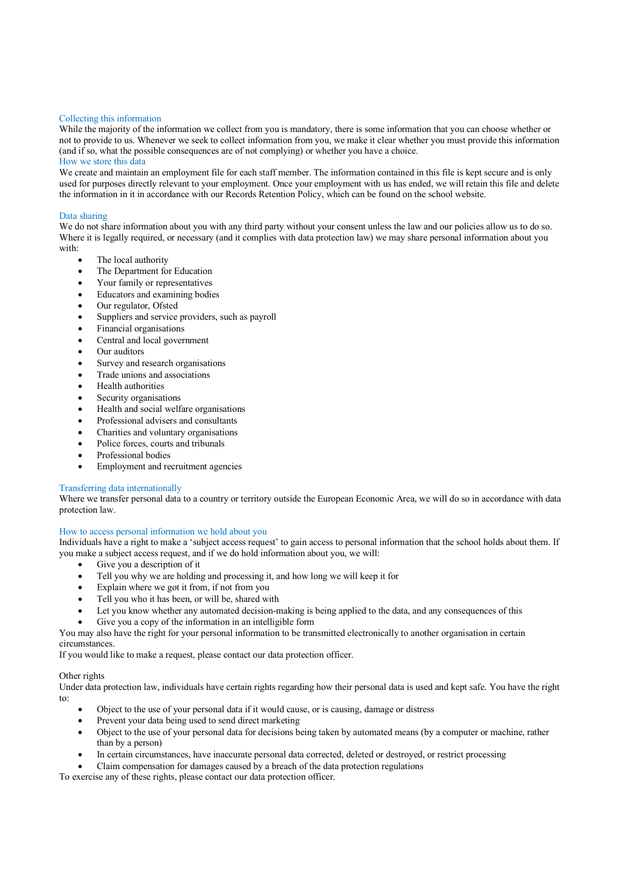#### Collecting this information

While the majority of the information we collect from you is mandatory, there is some information that you can choose whether or not to provide to us. Whenever we seek to collect information from you, we make it clear whether you must provide this information (and if so, what the possible consequences are of not complying) or whether you have a choice.

# How we store this data

We create and maintain an employment file for each staff member. The information contained in this file is kept secure and is only used for purposes directly relevant to your employment. Once your employment with us has ended, we will retain this file and delete the information in it in accordance with our Records Retention Policy, which can be found on the school website.

#### Data sharing

We do not share information about you with any third party without your consent unless the law and our policies allow us to do so. Where it is legally required, or necessary (and it complies with data protection law) we may share personal information about you with:

- The local authority
- The Department for Education
- Your family or representatives
- Educators and examining bodies
- Our regulator, Ofsted
- Suppliers and service providers, such as payroll
- Financial organisations
- Central and local government
- Our auditors
- Survey and research organisations
- Trade unions and associations
- Health authorities
- Security organisations
- Health and social welfare organisations
- Professional advisers and consultants
- Charities and voluntary organisations
- Police forces, courts and tribunals
- Professional bodies
- Employment and recruitment agencies

#### Transferring data internationally

Where we transfer personal data to a country or territory outside the European Economic Area, we will do so in accordance with data protection law.

# How to access personal information we hold about you

Individuals have a right to make a 'subject access request' to gain access to personal information that the school holds about them. If you make a subject access request, and if we do hold information about you, we will:

- Give you a description of it
- Tell you why we are holding and processing it, and how long we will keep it for
- Explain where we got it from, if not from you
- Tell you who it has been, or will be, shared with
- Let you know whether any automated decision-making is being applied to the data, and any consequences of this
- Give you a copy of the information in an intelligible form
- You may also have the right for your personal information to be transmitted electronically to another organisation in certain circumstances.

If you would like to make a request, please contact our data protection officer.

#### Other rights

Under data protection law, individuals have certain rights regarding how their personal data is used and kept safe. You have the right to:

- Object to the use of your personal data if it would cause, or is causing, damage or distress
- Prevent your data being used to send direct marketing
- Object to the use of your personal data for decisions being taken by automated means (by a computer or machine, rather than by a person)
- In certain circumstances, have inaccurate personal data corrected, deleted or destroyed, or restrict processing

• Claim compensation for damages caused by a breach of the data protection regulations

To exercise any of these rights, please contact our data protection officer.